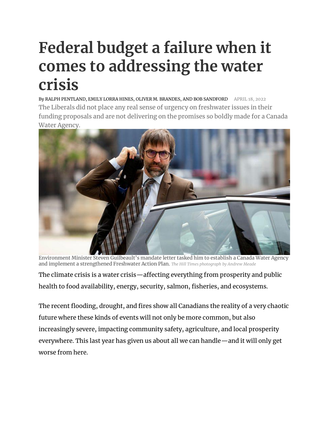## **Federal budget a failure when it comes to addressing the water crisis**

By [RALPH PENTLAND, EMILY LORRA HINES, OLIVER M. BRANDES, AND BOB SANDFORD](https://www.hilltimes.com/author/ralph-pentland-emily-lorra-hines-oliver-m-brandes-and-bob-sandford) APRIL 18, 2022 The Liberals did not place any real sense of urgency on freshwater issues in their funding proposals and are not delivering on the promises so boldly made for a Canada Water Agency.



Environment Minister Steven Guilbeault's mandate letter tasked him to establish a Canada Water Agency and implement a strengthened Freshwater Action Plan. *The Hill Times photograph by Andrew Meade*

The climate crisis is a water crisis—affecting everything from prosperity and public health to food availability, energy, security, salmon, fisheries, and ecosystems.

The recent flooding, drought, and fires show all Canadians the reality of a very chaotic future where these kinds of events will not only be more common, but also increasingly severe, impacting community safety, agriculture, and local prosperity everywhere. This last year has given us about all we can handle—and it will only get worse from here.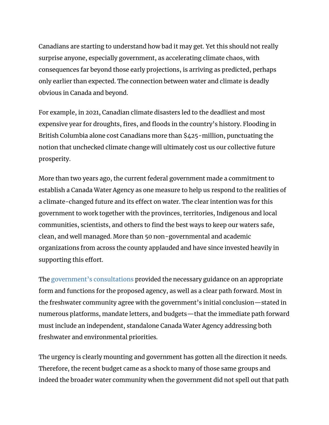Canadians are starting to understand how bad it may get. Yet this should not really surprise anyone, especially government, as accelerating climate chaos, with consequences far beyond those early projections, is arriving as predicted, perhaps only earlier than expected. The connection between water and climate is deadly obvious in Canada and beyond.

For example, in 2021, Canadian climate disasters led to the deadliest and most expensive year for droughts, fires, and floods in the country's history. Flooding in British Columbia alone cost Canadians more than \$425-million, punctuating the notion that unchecked climate change will ultimately cost us our collective future prosperity.

More than two years ago, the current federal government made a commitment to establish a Canada Water Agency as one measure to help us respond to the realities of a climate-changed future and its effect on water. The clear intention was for this government to work together with the provinces, territories, Indigenous and local communities, scientists, and others to find the best ways to keep our waters safe, clean, and well managed. More than 50 non-governmental and academic organizations from across the county applauded and have since invested heavily in supporting this effort.

The [government's consultations](https://publications.gc.ca/collections/collection_2021/eccc/En4-433-2021-eng.pdf) provided the necessary guidance on an appropriate form and functions for the proposed agency, as well as a clear path forward. Most in the freshwater community agree with the government's initial conclusion—stated in numerous platforms, mandate letters, and budgets—that the immediate path forward must include an independent, standalone Canada Water Agency addressing both freshwater and environmental priorities.

The urgency is clearly mounting and government has gotten all the direction it needs. Therefore, the recent budget came as a shock to many of those same groups and indeed the broader water community when the government did not spell out that path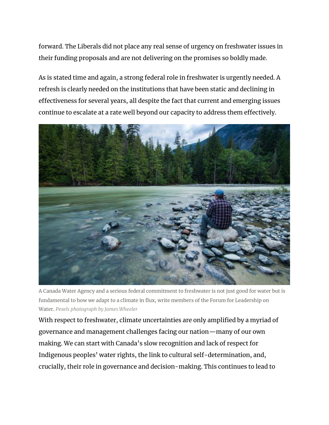forward. The Liberals did not place any real sense of urgency on freshwater issues in their funding proposals and are not delivering on the promises so boldly made.

As is stated time and again, a strong federal role in freshwater is urgently needed. A refresh is clearly needed on the institutions that have been static and declining in effectiveness for several years, all despite the fact that current and emerging issues continue to escalate at a rate well beyond our capacity to address them effectively.



A Canada Water Agency and a serious federal commitment to freshwater is not just good for water but is fundamental to how we adapt to a climate in flux, write members of the Forum for Leadership on Water. *Pexels photograph by James Wheeler*

With respect to freshwater, climate uncertainties are only amplified by a myriad of governance and management challenges facing our nation—many of our own making. We can start with Canada's slow recognition and lack of respect for Indigenous peoples' water rights, the link to cultural self-determination, and, crucially, their role in governance and decision-making. This continues to lead to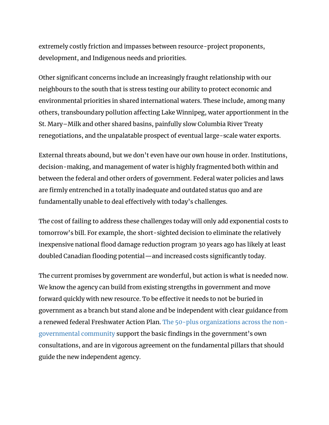extremely costly friction and impasses between resource-project proponents, development, and Indigenous needs and priorities.

Other significant concerns include an increasingly fraught relationship with our neighbours to the south that is stress testing our ability to protect economic and environmental priorities in shared international waters. These include, among many others, transboundary pollution affecting Lake Winnipeg, water apportionment in the St. Mary–Milk and other shared basins, painfully slow Columbia River Treaty renegotiations, and the unpalatable prospect of eventual large-scale water exports.

External threats abound, but we don't even have our own house in order. Institutions, decision-making, and management of water is highly fragmented both within and between the federal and other orders of government. Federal water policies and laws are firmly entrenched in a totally inadequate and outdated status quo and are fundamentally unable to deal effectively with today's challenges.

The cost of failing to address these challenges today will only add exponential costs to tomorrow's bill. For example, the short-sighted decision to eliminate the relatively inexpensive national flood damage reduction program 30 years ago has likely at least doubled Canadian flooding potential—and increased costs significantly today.

The current promises by government are wonderful, but action is what is needed now. We know the agency can build from existing strengths in government and move forward quickly with new resource. To be effective it needs to not be buried in government as a branch but stand alone and be independent with clear guidance from a renewed federal Freshwater Action Plan. [The 50-plus organizations across the non](https://www.flowcanada.org/_files/ugd/c12153_8dce8d50fcd64eec88ace4ace634dd40.pdf)[governmental community](https://www.flowcanada.org/_files/ugd/c12153_8dce8d50fcd64eec88ace4ace634dd40.pdf) support the basic findings in the government's own consultations, and are in vigorous agreement on the fundamental pillars that should guide the new independent agency.